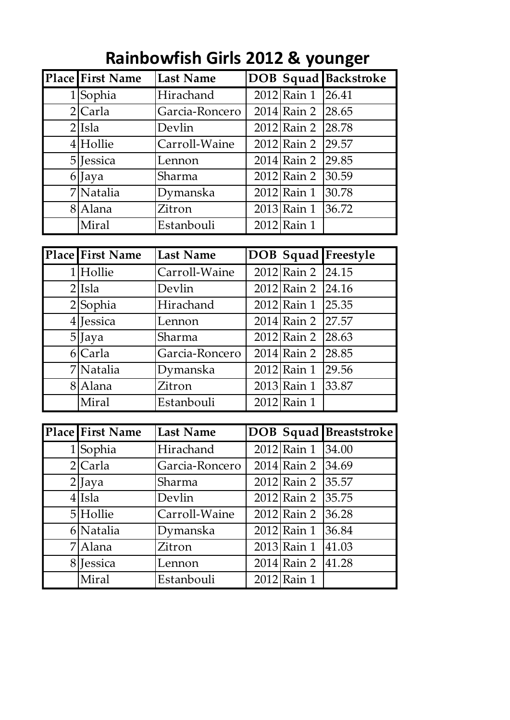| <b>Place First Name</b> | <b>Last Name</b> |                   | <b>DOB Squad Backstroke</b> |
|-------------------------|------------------|-------------------|-----------------------------|
| $1$ Sophia              | Hirachand        | 2012 Rain 1 26.41 |                             |
| 2 Carla                 | Garcia-Roncero   | 2014 Rain 2 28.65 |                             |
| $2$ Isla                | Devlin           | 2012 Rain 2 28.78 |                             |
| 4 Hollie                | Carroll-Waine    | 2012 Rain 2 29.57 |                             |
| 5 Jessica               | Lennon           | $2014$ Rain 2     | 29.85                       |
| 6 Jaya                  | Sharma           | 2012 Rain 2       | 30.59                       |
| 7 Natalia               | Dymanska         | $2012$ Rain 1     | 30.78                       |
| 8 Alana                 | Zitron           | $2013$ Rain 1     | 36.72                       |
| Miral                   | Estanbouli       | 2012 Rain 1       |                             |

## **Rainbowfish Girls 2012 & younger**

| <b>Place First Name</b> | <b>Last Name</b> |                   | DOB Squad Freestyle |
|-------------------------|------------------|-------------------|---------------------|
| 1 Hollie                | Carroll-Waine    | 2012 Rain 2 24.15 |                     |
| $2$ Isla                | Devlin           | 2012 Rain 2 24.16 |                     |
| $2$ Sophia              | Hirachand        | 2012 Rain 1 25.35 |                     |
| $4$  Jessica            | Lennon           | 2014 Rain 2 27.57 |                     |
| $5$  Jaya               | Sharma           | 2012 Rain 2 28.63 |                     |
| 6 Carla                 | Garcia-Roncero   | 2014 Rain 2 28.85 |                     |
| 7 Natalia               | Dymanska         | $2012$ Rain 1     | 29.56               |
| 8 Alana                 | Zitron           | $2013$ Rain 1     | 33.87               |
| Miral                   | Estanbouli       | 2012 Rain 1       |                     |

| <b>Place First Name</b> | <b>Last Name</b> |                   | <b>DOB</b> Squad Breaststroke |
|-------------------------|------------------|-------------------|-------------------------------|
| 1 Sophia                | Hirachand        | 2012 Rain 1 34.00 |                               |
| 2 Carla                 | Garcia-Roncero   | $2014$ Rain 2     | 34.69                         |
| $2$ ] Jaya              | Sharma           | $2012$ Rain 2     | 35.57                         |
| $4$ Isla                | Devlin           | $2012$ Rain 2     | 35.75                         |
| 5 Hollie                | Carroll-Waine    | $2012$ Rain 2     | 36.28                         |
| 6 Natalia               | Dymanska         | $2012$ Rain 1     | 36.84                         |
| 7 Alana                 | Zitron           | 2013 Rain 1       | 41.03                         |
| 8 Jessica               | Lennon           | $2014$ Rain 2     | 41.28                         |
| Miral                   | Estanbouli       | 2012 Rain 1       |                               |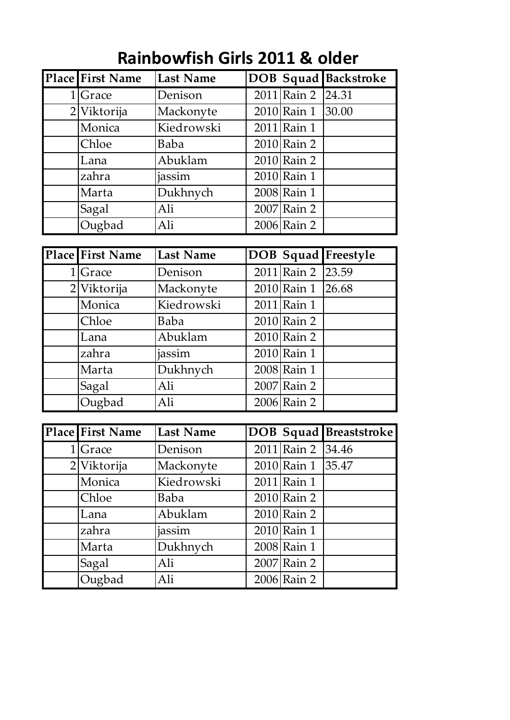| <b>Place First Name</b> | <b>Last Name</b> |                   | <b>DOB Squad Backstroke</b> |
|-------------------------|------------------|-------------------|-----------------------------|
| $1 $ Grace              | Denison          | 2011 Rain 2 24.31 |                             |
| 2 Viktorija             | Mackonyte        | 2010 Rain 1       | 30.00                       |
| Monica                  | Kiedrowski       | 2011 Rain 1       |                             |
| Chloe                   | Baba             | $2010$ Rain 2     |                             |
| Lana                    | Abuklam          | 2010 Rain 2       |                             |
| zahra                   | jassim           | 2010 Rain 1       |                             |
| Marta                   | Dukhnych         | 2008 Rain 1       |                             |
| Sagal                   | Ali              | 2007 Rain 2       |                             |
| Ougbad                  | Ali              | 2006 Rain 2       |                             |

## **Rainbowfish Girls 2011 & older**

|   | <b>Place First Name</b> | <b>Last Name</b> |                   | <b>DOB Squad Freestyle</b> |
|---|-------------------------|------------------|-------------------|----------------------------|
| 1 | <b>Grace</b>            | Denison          | 2011 Rain 2 23.59 |                            |
|   | 2 Viktorija             | Mackonyte        | $2010$ Rain 1     | 26.68                      |
|   | Monica                  | Kiedrowski       | 2011 Rain 1       |                            |
|   | Chloe                   | Baba             | $2010$ Rain 2     |                            |
|   | Lana                    | Abuklam          | $2010$ Rain 2     |                            |
|   | zahra                   | jassim           | $2010$ Rain 1     |                            |
|   | Marta                   | Dukhnych         | 2008 Rain 1       |                            |
|   | Sagal                   | Ali              | 2007 Rain 2       |                            |
|   | Ougbad                  | Ali              | 2006 Rain 2       |                            |

| Place First Name | <b>Last Name</b> |                   | DOB Squad Breaststroke |
|------------------|------------------|-------------------|------------------------|
| $1 $ Grace       | Denison          | 2011 Rain 2 34.46 |                        |
| 2 Viktorija      | Mackonyte        | $2010$ Rain 1     | 35.47                  |
| Monica           | Kiedrowski       | 2011 Rain 1       |                        |
| Chloe            | Baba             | $2010$ Rain 2     |                        |
| Lana             | Abuklam          | 2010 Rain 2       |                        |
| zahra            | jassim           | 2010 Rain 1       |                        |
| Marta            | Dukhnych         | 2008 Rain 1       |                        |
| Sagal            | Ali              | 2007 Rain 2       |                        |
| Ougbad           | Ali              | 2006 Rain 2       |                        |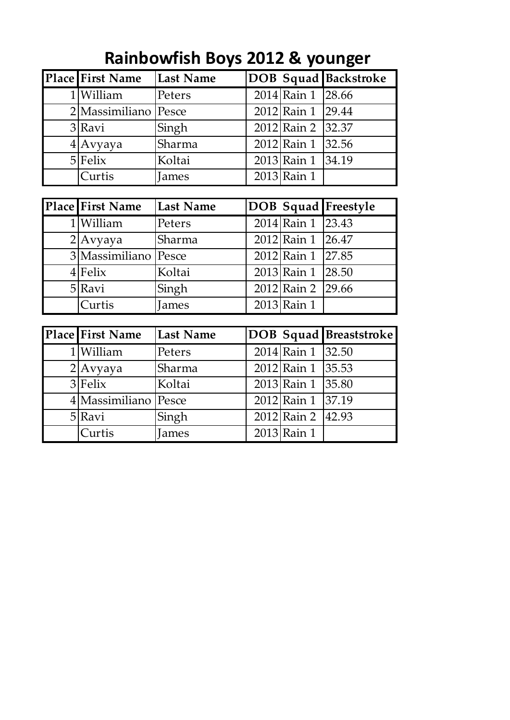| <b>Place First Name</b> | Last Name |                   | <b>DOB</b> Squad Backstroke |
|-------------------------|-----------|-------------------|-----------------------------|
| 1 William               | Peters    | 2014 Rain 1 28.66 |                             |
| 2 Massimiliano Pesce    |           | 2012 Rain 1 29.44 |                             |
| 3 Ravi                  | Singh     | 2012 Rain 2 32.37 |                             |
| $4$  Avyaya             | Sharma    | 2012 Rain 1 32.56 |                             |
| $5$ Felix               | Koltai    | 2013 Rain 1 34.19 |                             |
| Curtis                  | James     | $2013$ Rain 1     |                             |

## **Rainbowfish Boys 2012 & younger**

| <b>Place First Name</b> | Last Name |                   | DOB Squad Freestyle |
|-------------------------|-----------|-------------------|---------------------|
| 1 William               | Peters    | 2014 Rain 1 23.43 |                     |
| $2$ Avyaya              | Sharma    | 2012 Rain 1 26.47 |                     |
| 3 Massimiliano Pesce    |           | 2012 Rain 1 27.85 |                     |
| $4$ Felix               | Koltai    | 2013 Rain 1 28.50 |                     |
| 5 Ravi                  | Singh     | 2012 Rain 2 29.66 |                     |
| <b>Curtis</b>           | James     | 2013 Rain 1       |                     |

| Place First Name     | <b>Last Name</b> |                   | <b>DOB</b> Squad Breaststroke |
|----------------------|------------------|-------------------|-------------------------------|
| 1 William            | Peters           | 2014 Rain 1 32.50 |                               |
| $2$ Avyaya           | Sharma           | 2012 Rain 1 35.53 |                               |
| $3$ Felix            | Koltai           | 2013 Rain 1 35.80 |                               |
| 4 Massimiliano Pesce |                  | 2012 Rain 1 37.19 |                               |
| $5$ Ravi             | Singh            | 2012 Rain 2 42.93 |                               |
| Curtis               | James            | $2013$ Rain 1     |                               |